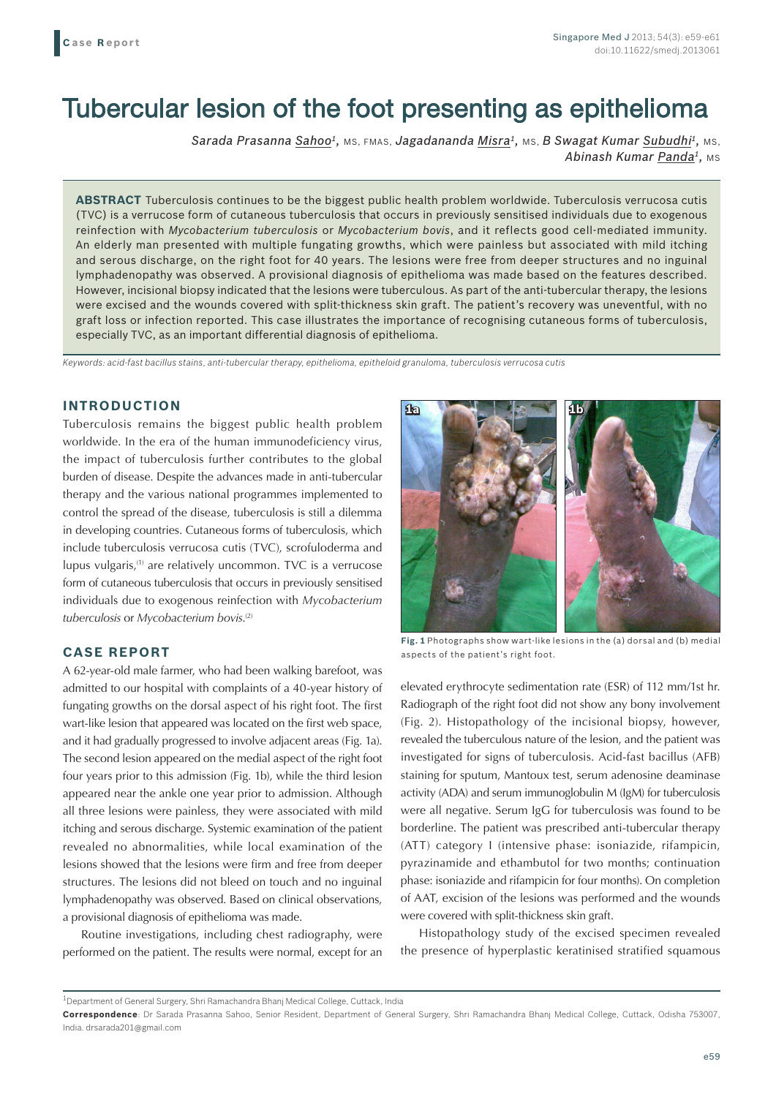# Tubercular lesion of the foot presenting as epithelioma

*Sarada Prasanna Sahoo1,* MS, FMAS, *Jagadananda Misra1,* MS, *B Swagat Kumar Subudhi1,* MS, *Abinash Kumar Panda<sup>1</sup>, MS* 

**ABSTRACT** Tuberculosis continues to be the biggest public health problem worldwide. Tuberculosis verrucosa cutis (TVC) is a verrucose form of cutaneous tuberculosis that occurs in previously sensitised individuals due to exogenous reinfection with *Mycobacterium tuberculosis* or *Mycobacterium bovis*, and it reflects good cell-mediated immunity. An elderly man presented with multiple fungating growths, which were painless but associated with mild itching and serous discharge, on the right foot for 40 years. The lesions were free from deeper structures and no inguinal lymphadenopathy was observed. A provisional diagnosis of epithelioma was made based on the features described. However, incisional biopsy indicated that the lesions were tuberculous. As part of the anti-tubercular therapy, the lesions were excised and the wounds covered with split-thickness skin graft. The patient's recovery was uneventful, with no graft loss or infection reported. This case illustrates the importance of recognising cutaneous forms of tuberculosis, especially TVC, as an important differential diagnosis of epithelioma.

*Keywords: acid-fast bacillus stains, anti-tubercular therapy, epithelioma, epitheloid granuloma, tuberculosis verrucosa cutis*

## **INTRODUCTION**

Tuberculosis remains the biggest public health problem worldwide. In the era of the human immunodeficiency virus, the impact of tuberculosis further contributes to the global burden of disease. Despite the advances made in anti-tubercular therapy and the various national programmes implemented to control the spread of the disease, tuberculosis is still a dilemma in developing countries. Cutaneous forms of tuberculosis, which include tuberculosis verrucosa cutis (TVC), scrofuloderma and lupus vulgaris,<sup>(1)</sup> are relatively uncommon. TVC is a verrucose form of cutaneous tuberculosis that occurs in previously sensitised individuals due to exogenous reinfection with *Mycobacterium tuberculosis* or *Mycobacterium bovis*. (2)

# **CASE REPORT**

A 62-year-old male farmer, who had been walking barefoot, was admitted to our hospital with complaints of a 40-year history of fungating growths on the dorsal aspect of his right foot. The first wart-like lesion that appeared was located on the first web space, and it had gradually progressed to involve adjacent areas (Fig. 1a). The second lesion appeared on the medial aspect of the right foot four years prior to this admission (Fig. 1b), while the third lesion appeared near the ankle one year prior to admission. Although all three lesions were painless, they were associated with mild itching and serous discharge. Systemic examination of the patient revealed no abnormalities, while local examination of the lesions showed that the lesions were firm and free from deeper structures. The lesions did not bleed on touch and no inguinal lymphadenopathy was observed. Based on clinical observations, a provisional diagnosis of epithelioma was made.

Routine investigations, including chest radiography, were performed on the patient. The results were normal, except for an



**Fig. 1** Photographs show wart-like lesions in the (a) dorsal and (b) medial aspects of the patient's right foot.

elevated erythrocyte sedimentation rate (ESR) of 112 mm/1st hr. Radiograph of the right foot did not show any bony involvement (Fig. 2). Histopathology of the incisional biopsy, however, revealed the tuberculous nature of the lesion, and the patient was investigated for signs of tuberculosis. Acid-fast bacillus (AFB) staining for sputum, Mantoux test, serum adenosine deaminase activity (ADA) and serum immunoglobulin M (IgM) for tuberculosis were all negative. Serum IgG for tuberculosis was found to be borderline. The patient was prescribed anti-tubercular therapy (ATT) category I (intensive phase: isoniazide, rifampicin, pyrazinamide and ethambutol for two months; continuation phase: isoniazide and rifampicin for four months). On completion of AAT, excision of the lesions was performed and the wounds were covered with split-thickness skin graft.

Histopathology study of the excised specimen revealed the presence of hyperplastic keratinised stratified squamous

<sup>1</sup>Department of General Surgery, Shri Ramachandra Bhanj Medical College, Cuttack, India

**Correspondence**: Dr Sarada Prasanna Sahoo, Senior Resident, Department of General Surgery, Shri Ramachandra Bhanj Medical College, Cuttack, Odisha 753007, India. drsarada201@gmail.com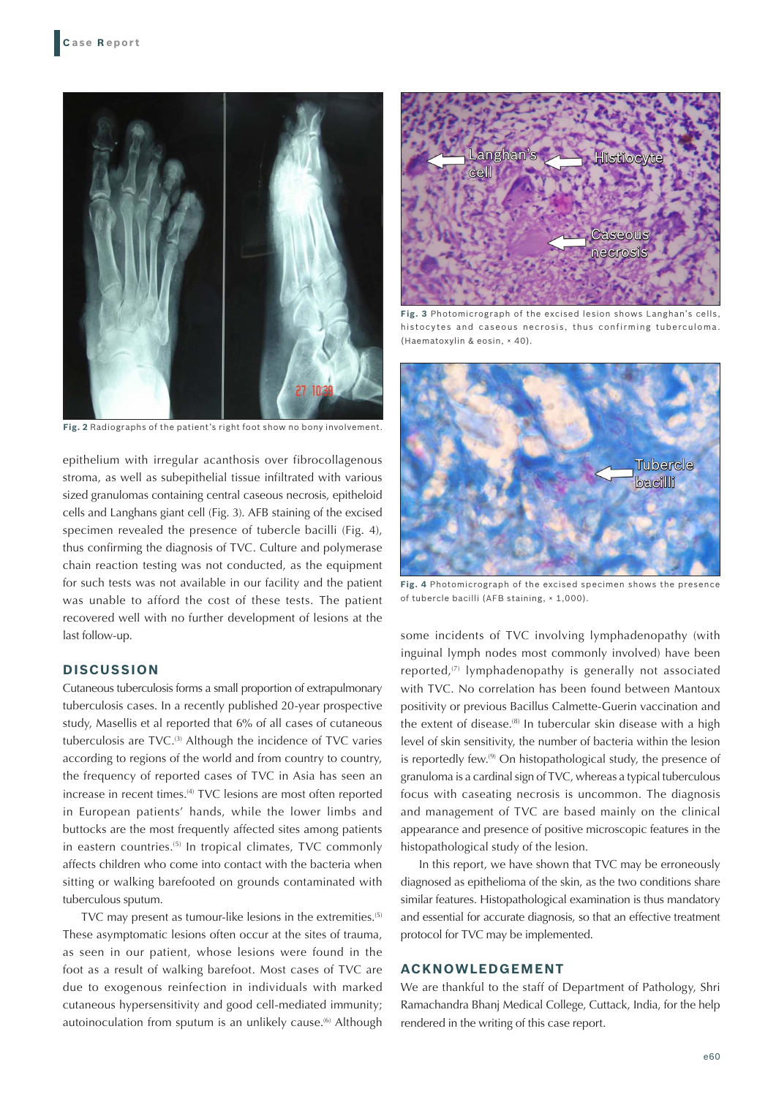

**Fig. 2** Radiographs of the patient's right foot show no bony involvement.

epithelium with irregular acanthosis over fibrocollagenous stroma, as well as subepithelial tissue infiltrated with various sized granulomas containing central caseous necrosis, epitheloid cells and Langhans giant cell (Fig. 3). AFB staining of the excised specimen revealed the presence of tubercle bacilli (Fig. 4), thus confirming the diagnosis of TVC. Culture and polymerase chain reaction testing was not conducted, as the equipment for such tests was not available in our facility and the patient was unable to afford the cost of these tests. The patient recovered well with no further development of lesions at the last follow-up.

#### **DISCUSSION**

Cutaneous tuberculosis forms a small proportion of extrapulmonary tuberculosis cases. In a recently published 20-year prospective study, Masellis et al reported that 6% of all cases of cutaneous tuberculosis are TVC.<sup>(3)</sup> Although the incidence of TVC varies according to regions of the world and from country to country, the frequency of reported cases of TVC in Asia has seen an increase in recent times.<sup>(4)</sup> TVC lesions are most often reported in European patients' hands, while the lower limbs and buttocks are the most frequently affected sites among patients in eastern countries.<sup>(5)</sup> In tropical climates, TVC commonly affects children who come into contact with the bacteria when sitting or walking barefooted on grounds contaminated with tuberculous sputum.

TVC may present as tumour-like lesions in the extremities.<sup>(5)</sup> These asymptomatic lesions often occur at the sites of trauma, as seen in our patient, whose lesions were found in the foot as a result of walking barefoot. Most cases of TVC are due to exogenous reinfection in individuals with marked cutaneous hypersensitivity and good cell-mediated immunity; autoinoculation from sputum is an unlikely cause.<sup>(6)</sup> Although



**Fig. 3** Photomicrograph of the excised lesion shows Langhan's cells, histocytes and caseous necrosis, thus confirming tuberculoma. (Haematoxylin & eosin, × 40).



**Fig. 4** Photomicrograph of the excised specimen shows the presence of tubercle bacilli (AFB staining, × 1,000).

some incidents of TVC involving lymphadenopathy (with inguinal lymph nodes most commonly involved) have been reported,<sup>(7)</sup> lymphadenopathy is generally not associated with TVC. No correlation has been found between Mantoux positivity or previous Bacillus Calmette-Guerin vaccination and the extent of disease.<sup>(8)</sup> In tubercular skin disease with a high level of skin sensitivity, the number of bacteria within the lesion is reportedly few.<sup>(9)</sup> On histopathological study, the presence of granuloma is a cardinal sign of TVC, whereas a typical tuberculous focus with caseating necrosis is uncommon. The diagnosis and management of TVC are based mainly on the clinical appearance and presence of positive microscopic features in the histopathological study of the lesion.

In this report, we have shown that TVC may be erroneously diagnosed as epithelioma of the skin, as the two conditions share similar features. Histopathological examination is thus mandatory and essential for accurate diagnosis, so that an effective treatment protocol for TVC may be implemented.

## **ACKNOWLEDGEMENT**

We are thankful to the staff of Department of Pathology, Shri Ramachandra Bhanj Medical College, Cuttack, India, for the help rendered in the writing of this case report.